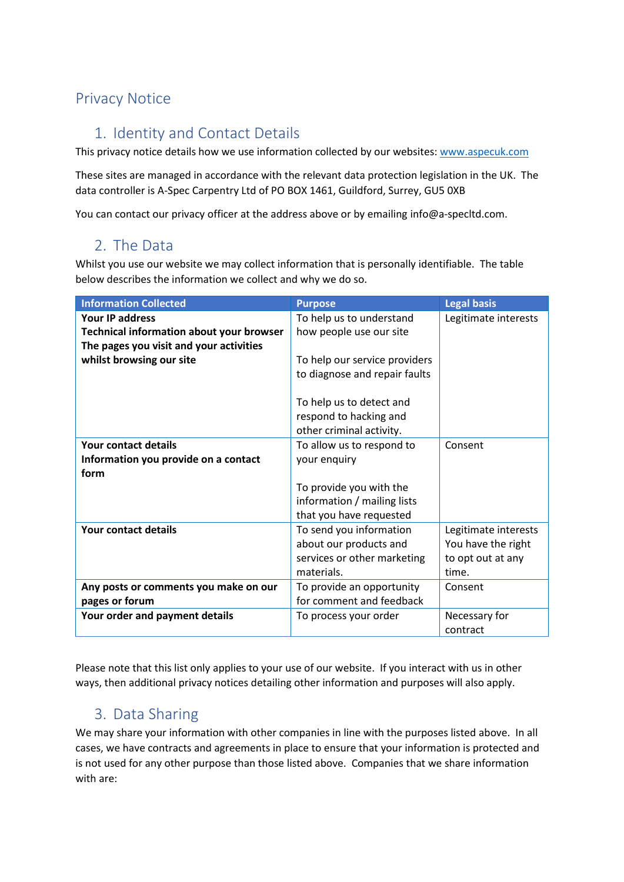## Privacy Notice

# 1. Identity and Contact Details

This privacy notice details how we use information collected by our websites: [www.aspecuk.com](http://www.aspecuk.com/)

These sites are managed in accordance with the relevant data protection legislation in the UK. The data controller is A-Spec Carpentry Ltd of PO BOX 1461, Guildford, Surrey, GU5 0XB

You can contact our privacy officer at the address above or by emailing [info@a-specltd.com.](mailto:info@a-specltd.com)

## 2. The Data

Whilst you use our website we may collect information that is personally identifiable. The table below describes the information we collect and why we do so.

| <b>Information Collected</b>                    | <b>Purpose</b>                | <b>Legal basis</b>   |
|-------------------------------------------------|-------------------------------|----------------------|
| <b>Your IP address</b>                          | To help us to understand      | Legitimate interests |
| <b>Technical information about your browser</b> | how people use our site       |                      |
| The pages you visit and your activities         |                               |                      |
| whilst browsing our site                        | To help our service providers |                      |
|                                                 | to diagnose and repair faults |                      |
|                                                 |                               |                      |
|                                                 | To help us to detect and      |                      |
|                                                 | respond to hacking and        |                      |
|                                                 | other criminal activity.      |                      |
| Your contact details                            | To allow us to respond to     | Consent              |
| Information you provide on a contact            | your enquiry                  |                      |
| form                                            |                               |                      |
|                                                 | To provide you with the       |                      |
|                                                 | information / mailing lists   |                      |
|                                                 | that you have requested       |                      |
| Your contact details                            | To send you information       | Legitimate interests |
|                                                 | about our products and        | You have the right   |
|                                                 | services or other marketing   | to opt out at any    |
|                                                 | materials.                    | time.                |
| Any posts or comments you make on our           | To provide an opportunity     | Consent              |
| pages or forum                                  | for comment and feedback      |                      |
| Your order and payment details                  | To process your order         | Necessary for        |
|                                                 |                               | contract             |

Please note that this list only applies to your use of our website. If you interact with us in other ways, then additional privacy notices detailing other information and purposes will also apply.

## 3. Data Sharing

We may share your information with other companies in line with the purposes listed above. In all cases, we have contracts and agreements in place to ensure that your information is protected and is not used for any other purpose than those listed above. Companies that we share information with are: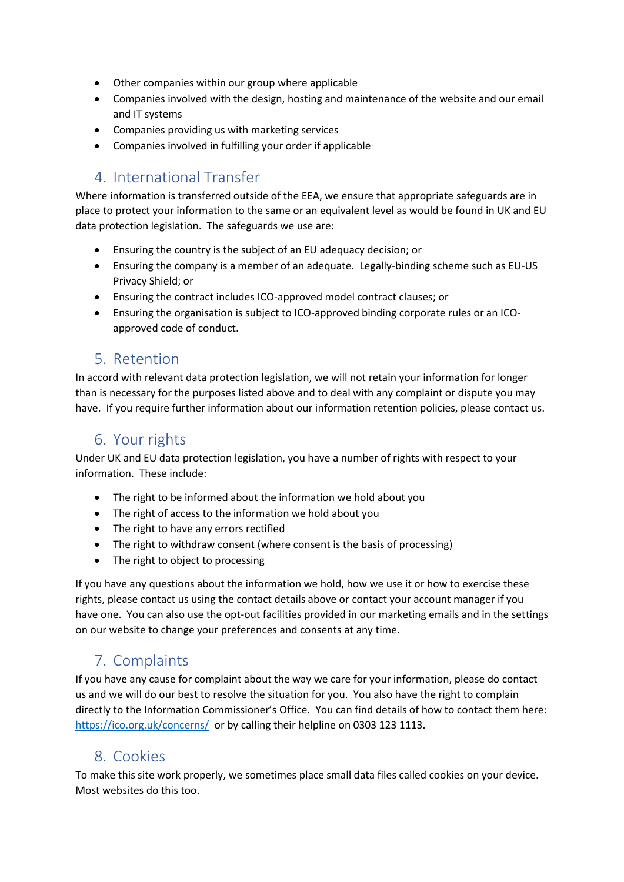- Other companies within our group where applicable
- Companies involved with the design, hosting and maintenance of the website and our email and IT systems
- Companies providing us with marketing services
- Companies involved in fulfilling your order if applicable

## 4. International Transfer

Where information is transferred outside of the EEA, we ensure that appropriate safeguards are in place to protect your information to the same or an equivalent level as would be found in UK and EU data protection legislation. The safeguards we use are:

- Ensuring the country is the subject of an EU adequacy decision; or
- Ensuring the company is a member of an adequate. Legally-binding scheme such as EU-US Privacy Shield; or
- Ensuring the contract includes ICO-approved model contract clauses; or
- Ensuring the organisation is subject to ICO-approved binding corporate rules or an ICOapproved code of conduct.

### 5. Retention

In accord with relevant data protection legislation, we will not retain your information for longer than is necessary for the purposes listed above and to deal with any complaint or dispute you may have. If you require further information about our information retention policies, please contact us.

## 6. Your rights

Under UK and EU data protection legislation, you have a number of rights with respect to your information. These include:

- The right to be informed about the information we hold about you
- The right of access to the information we hold about you
- The right to have any errors rectified
- The right to withdraw consent (where consent is the basis of processing)
- The right to object to processing

If you have any questions about the information we hold, how we use it or how to exercise these rights, please contact us using the contact details above or contact your account manager if you have one. You can also use the opt-out facilities provided in our marketing emails and in the settings on our website to change your preferences and consents at any time.

## 7. Complaints

If you have any cause for complaint about the way we care for your information, please do contact us and we will do our best to resolve the situation for you. You also have the right to complain directly to the Information Commissioner's Office. You can find details of how to contact them here: <https://ico.org.uk/concerns/>or by calling their helpline on 0303 123 1113.

### 8. Cookies

To make this site work properly, we sometimes place small data files called cookies on your device. Most websites do this too.